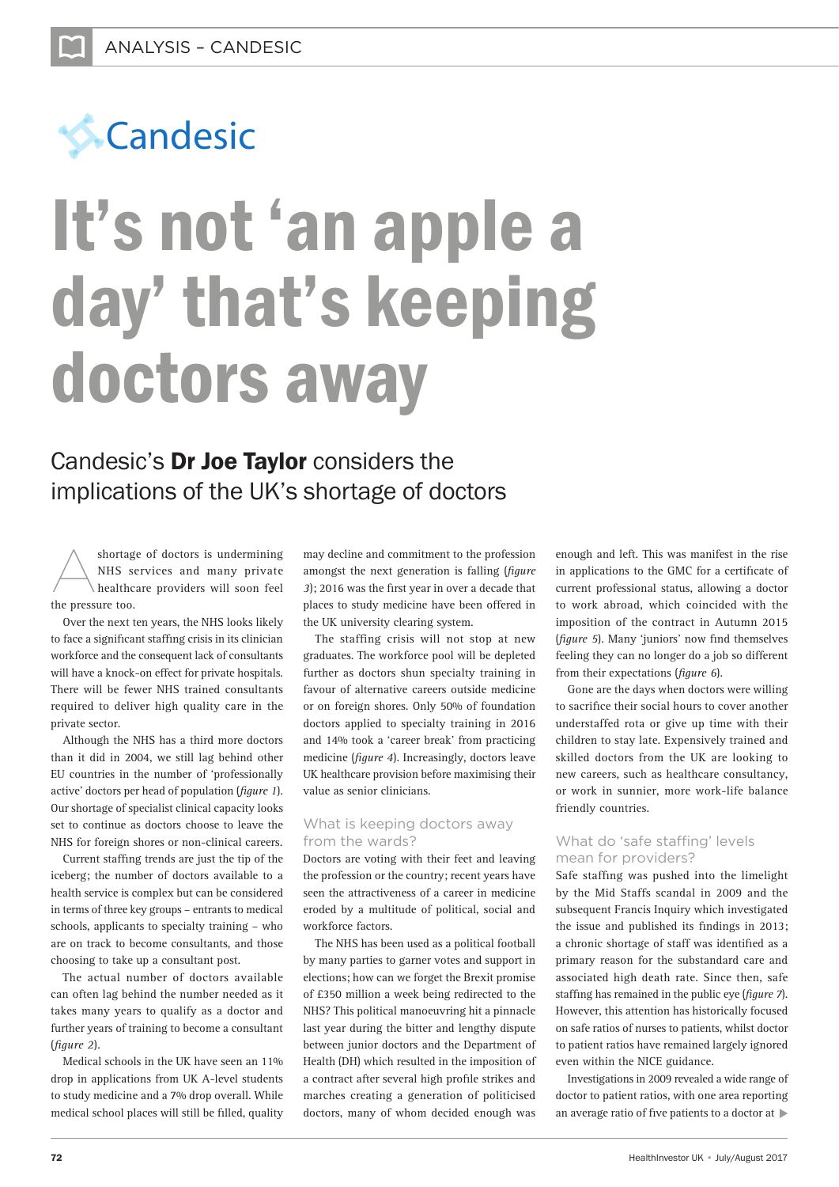

# It's not 'an apple a day' that's keeping doctors away

# Candesic's Dr Joe Taylor considers the implications of the UK's shortage of doctors

shortage of doctors is undermining<br>NHS services and many private<br>healthcare providers will soon feel NHS services and many private healthcare providers will soon feel the pressure too.

Over the next ten years, the NHS looks likely to face a significant staffing crisis in its clinician workforce and the consequent lack of consultants will have a knock-on effect for private hospitals. There will be fewer NHS trained consultants required to deliver high quality care in the private sector.

Although the NHS has a third more doctors than it did in 2004, we still lag behind other EU countries in the number of 'professionally active' doctors per head of population (*figure 1*). Our shortage of specialist clinical capacity looks set to continue as doctors choose to leave the NHS for foreign shores or non-clinical careers.

Current staffing trends are just the tip of the iceberg; the number of doctors available to a health service is complex but can be considered in terms of three key groups – entrants to medical schools, applicants to specialty training - who are on track to become consultants, and those choosing to take up a consultant post.

The actual number of doctors available can often lag behind the number needed as it takes many years to qualify as a doctor and further years of training to become a consultant (*figure 2*).

Medical schools in the UK have seen an 11% drop in applications from UK A-level students to study medicine and a 7% drop overall. While medical school places will still be filled, quality

may decline and commitment to the profession amongst the next generation is falling (*figure 3*); 2016 was the first year in over a decade that places to study medicine have been offered in the UK university clearing system.

The staffing crisis will not stop at new graduates. The workforce pool will be depleted further as doctors shun specialty training in favour of alternative careers outside medicine or on foreign shores. Only 50% of foundation doctors applied to specialty training in 2016 and 14% took a 'career break' from practicing medicine (*figure 4*). Increasingly, doctors leave UK healthcare provision before maximising their value as senior clinicians.

## What is keeping doctors away from the wards?

Doctors are voting with their feet and leaving the profession or the country; recent years have seen the attractiveness of a career in medicine eroded by a multitude of political, social and workforce factors.

The NHS has been used as a political football by many parties to garner votes and support in elections; how can we forget the Brexit promise of £350 million a week being redirected to the NHS? This political manoeuvring hit a pinnacle last year during the bitter and lengthy dispute between junior doctors and the Department of Health (DH) which resulted in the imposition of a contract after several high profile strikes and marches creating a generation of politicised doctors, many of whom decided enough was

enough and left. This was manifest in the rise in applications to the GMC for a certificate of current professional status, allowing a doctor to work abroad, which coincided with the imposition of the contract in Autumn 2015 (*figure 5*). Many 'juniors' now find themselves feeling they can no longer do a job so different from their expectations (*figure 6*).

Gone are the days when doctors were willing to sacrifice their social hours to cover another understaffed rota or give up time with their children to stay late. Expensively trained and skilled doctors from the UK are looking to new careers, such as healthcare consultancy, or work in sunnier, more work-life balance friendly countries.

## What do 'safe staffing' levels mean for providers?

Safe staffing was pushed into the limelight by the Mid Staffs scandal in 2009 and the subsequent Francis Inquiry which investigated the issue and published its findings in 2013; a chronic shortage of staff was identified as a primary reason for the substandard care and associated high death rate. Since then, safe staffing has remained in the public eye (*figure 7*). However, this attention has historically focused on safe ratios of nurses to patients, whilst doctor to patient ratios have remained largely ignored even within the NICE guidance.

Investigations in 2009 revealed a wide range of doctor to patient ratios, with one area reporting an average ratio of five patients to a doctor at  $\blacktriangleright$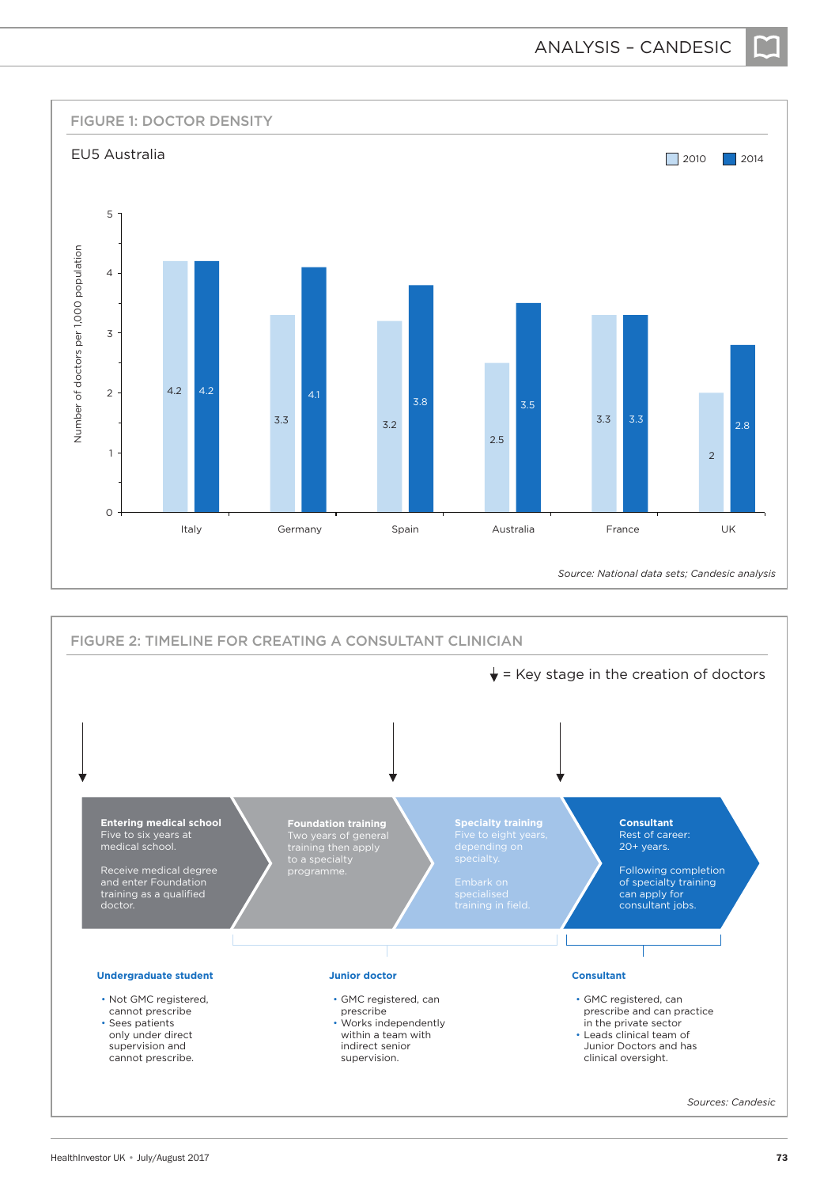

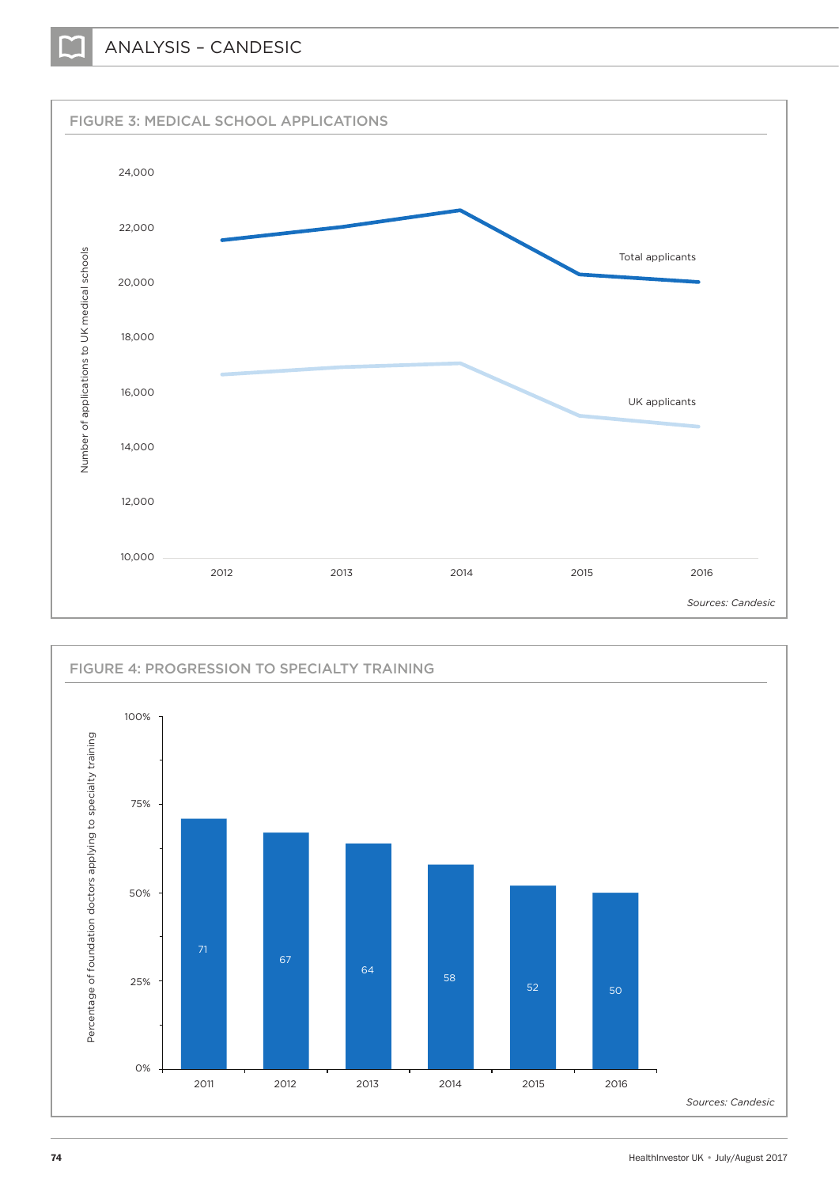

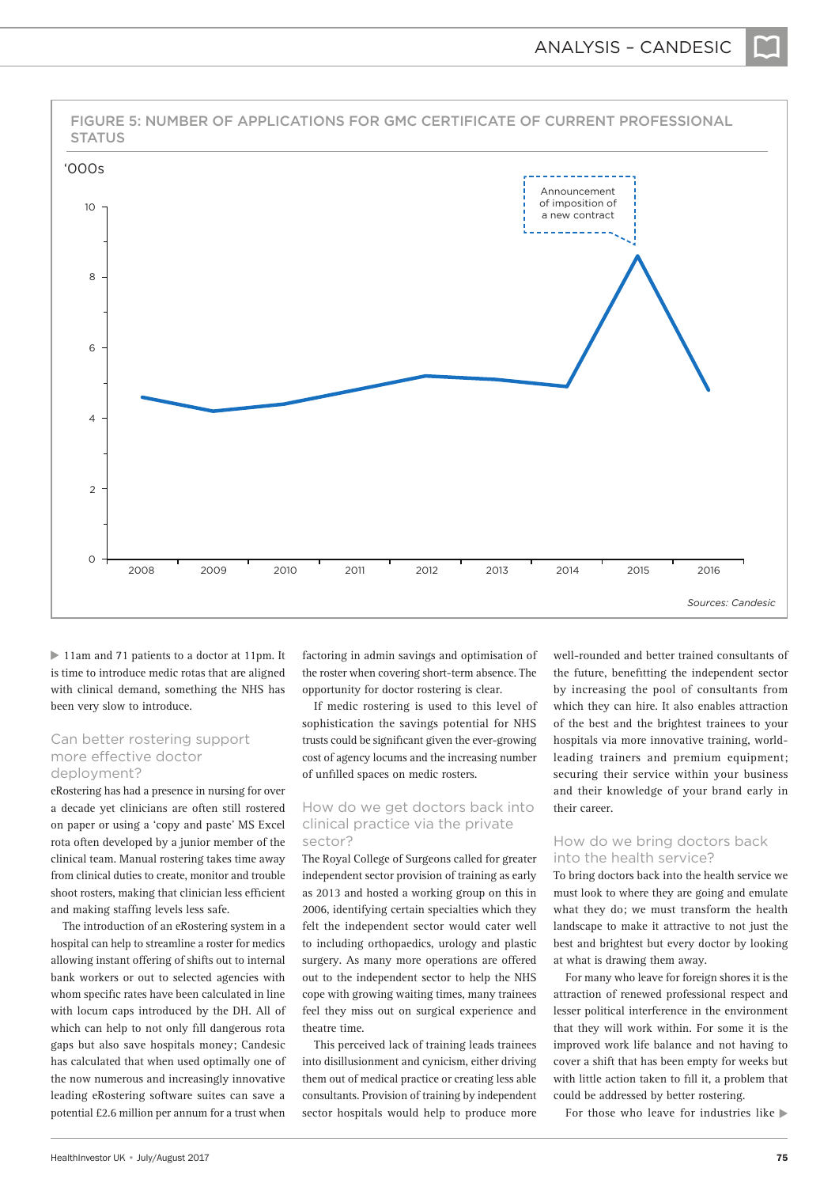

▶ 11am and 71 patients to a doctor at 11pm. It is time to introduce medic rotas that are aligned with clinical demand, something the NHS has been very slow to introduce.

#### Can better rostering support more effective doctor deployment?

eRostering has had a presence in nursing for over a decade yet clinicians are often still rostered on paper or using a 'copy and paste' MS Excel rota often developed by a junior member of the clinical team. Manual rostering takes time away from clinical duties to create, monitor and trouble shoot rosters, making that clinician less efficient and making staffing levels less safe.

The introduction of an eRostering system in a hospital can help to streamline a roster for medics allowing instant offering of shifts out to internal bank workers or out to selected agencies with whom specific rates have been calculated in line with locum caps introduced by the DH. All of which can help to not only fill dangerous rota gaps but also save hospitals money; Candesic has calculated that when used optimally one of the now numerous and increasingly innovative leading eRostering software suites can save a potential £2.6 million per annum for a trust when

factoring in admin savings and optimisation of the roster when covering short-term absence. The opportunity for doctor rostering is clear.

If medic rostering is used to this level of sophistication the savings potential for NHS trusts could be significant given the ever-growing cost of agency locums and the increasing number of unfilled spaces on medic rosters.

#### How do we get doctors back into clinical practice via the private sector?

The Royal College of Surgeons called for greater independent sector provision of training as early as 2013 and hosted a working group on this in 2006, identifying certain specialties which they felt the independent sector would cater well to including orthopaedics, urology and plastic surgery. As many more operations are offered out to the independent sector to help the NHS cope with growing waiting times, many trainees feel they miss out on surgical experience and theatre time.

This perceived lack of training leads trainees into disillusionment and cynicism, either driving them out of medical practice or creating less able consultants. Provision of training by independent sector hospitals would help to produce more

well-rounded and better trained consultants of the future, benefitting the independent sector by increasing the pool of consultants from which they can hire. It also enables attraction of the best and the brightest trainees to your hospitals via more innovative training, worldleading trainers and premium equipment; securing their service within your business and their knowledge of your brand early in their career.

#### How do we bring doctors back into the health service?

To bring doctors back into the health service we must look to where they are going and emulate what they do; we must transform the health landscape to make it attractive to not just the best and brightest but every doctor by looking at what is drawing them away.

For many who leave for foreign shores it is the attraction of renewed professional respect and lesser political interference in the environment that they will work within. For some it is the improved work life balance and not having to cover a shift that has been empty for weeks but with little action taken to fill it, a problem that could be addressed by better rostering.

For those who leave for industries like  $\blacktriangleright$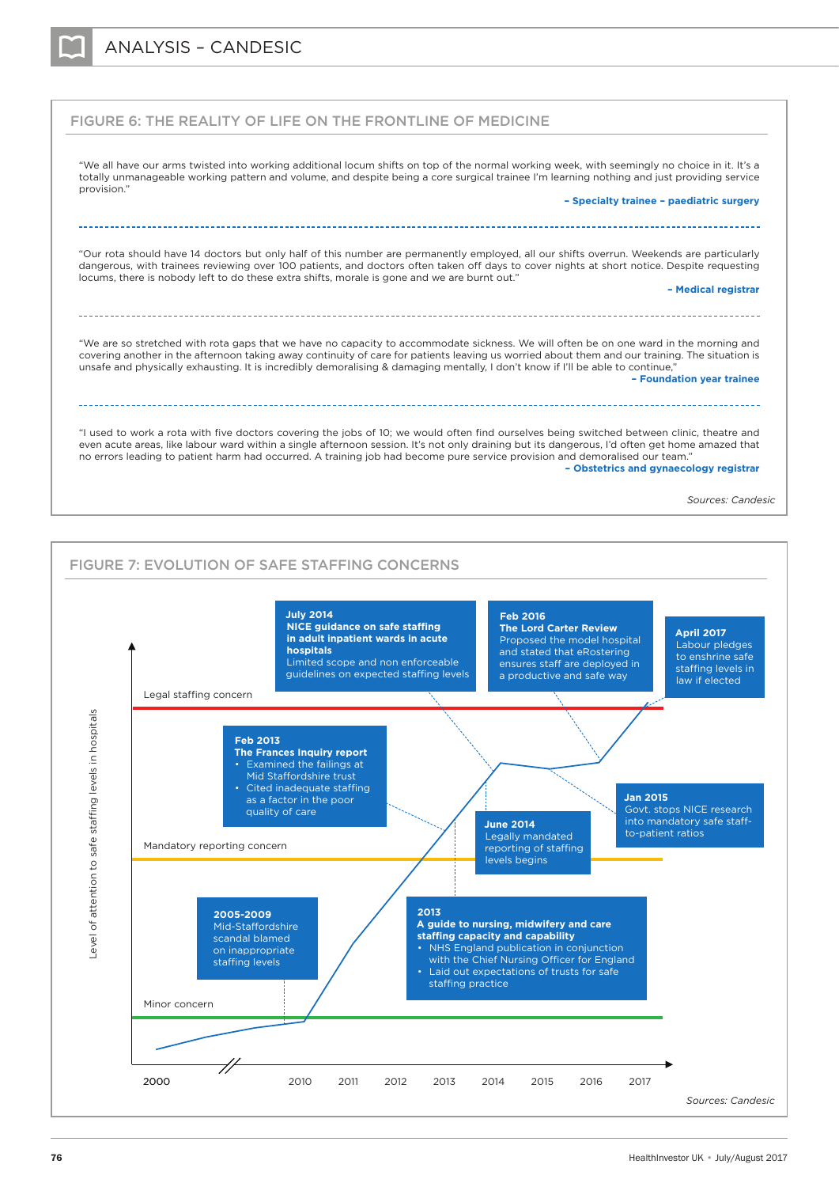



*Sources: Candesic*